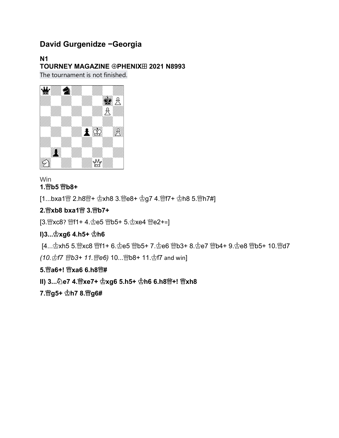## **David Gurgenidze -Georgia**

**N1 TOURNEY MAGAZINE @PHENIXE 2021 N8993** The tournament is not finished.



# Win

**1. b5 b8+** 

[1...bxa1營 2.h8營+  $\stackrel{\text{def}}{2}$ xh8 3.營e8+  $\stackrel{\text{def}}{2}$ g7 4.營f7+  $\stackrel{\text{def}}{2}$ h8 5.營h7#]

#### **2. xb8 bxa1 3. b7+**

[3.  $xcc8$ ?  $wf1 + 4$ .  $\Phi e5$   $wb5 + 5$ .  $\Phi xe4$   $\Phi e2 +=$ ]

#### **I)3...** $\Phi$ **xg6 4.h5+**  $\Phi$ h6

[4... hxh5 5. hxc8 出f1+ 6. he5 出b5+ 7. he6 出b3+ 8. he7 出b4+ 9. he8 出b5+ 10. 出d7

*(10. f7 b3+ 11. e6)* 10... b8+ 11. f7 and win]

#### **5. a6+! xa6 6.h8 #**

## **II) 3... e7 4. xe7+ xg6 5.h5+ h6 6.h8 +! xh8**

**7. g5+ h7 8. g6#**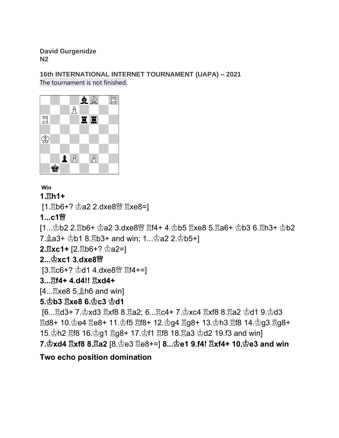**David Gurgenidze N2**

**16th INTERNATIONAL INTERNET TOURNAMENT (UAPA) – 2021** The tournament is not finished.



## **Win**

## **1. h1+**

[1. hb6+?  $\Phi$ a2 2.dxe8  $\mathbb{W}$  xe8=]

## **1...c1**

 $[1...\Phi$ b2 2. gb6+  $\Phi$ a2 3.dxe8 $\mathbb{N}$  gf4+ 4. $\Phi$ b5 gxe8 5. ga6+  $\Phi$ b3 6. gh3+  $\Phi$ b2

7.  $2a3+$   $\Phi$ b1 8.  $\Xi$ b3+ and win; 1...  $\Phi$ a2 2. $\Phi$ b5+]

**2. axc1+** [2. ab6+?  $\Phi$ a2=]

## **2... xc1 3.dxe8**

 $[3.\,$  Ec6+?  $\&$ d1 4.dxe8 $\&$  Ef4+=]

## **3... f4+ 4.d4!! xd4+**

 $[4...$   $2 \times 8$  5.  $2 \text{h}$  6 and win]

## **5. b3 xe8 6. c3 d1**

 $[6...$  d3+ 7. $\&$ xd3  $\&$ xf8 8. $\&$ a2; 6... $\&$ c4+ 7. $\&$ xc4  $\&$ xf8 8. $\&$ a2  $\&$ d1 9. $\&$ d3  $\mathbb{E}$ d8+ 10. $\mathbb{\dot{E}}$ e4  $\mathbb{E}$ e8+ 11. $\mathbb{\dot{E}}$ f5  $\mathbb{E}$ f8+ 12. $\mathbb{\dot{E}}$ q4  $\mathbb{E}$ q8+ 13. $\mathbb{\dot{E}}$ h3  $\mathbb{E}$ f8 14. $\mathbb{\dot{E}}$ q3  $\mathbb{E}$ q8+ 15. h2 gf8 16. hg ig8+ 17. hf1 gf8 18. a3 hd 2 19. f3 and win] **7. xd4 xf8 8. a2** [8. e3 e8+=] **8... e1 9.f4! xf4+ 10. e3 and win**

## **Two echo position domination**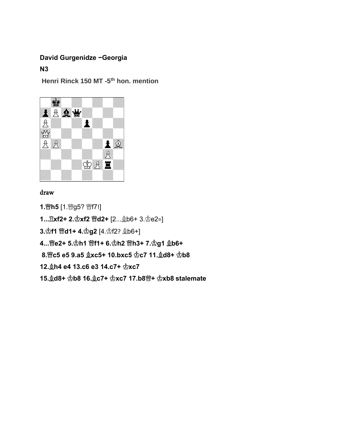#### **David Gurgenidze -Georgia**

**N3**

**Henri Rinck 150 MT -5 th hon. mention**



#### draw

1. *曾* **h5** [1. *曾* g5? *曾* f7!] **1...** $\mathbb{E}$ **xf2+ 2.** $\mathbb{E}$ **xf2 曾d2+** [2... $\mathbb{E}$ b6+ 3. $\mathbb{E}$ e2=] **3. f1 曾d1+ 4. g2** [4. f2?  $$6+]$ **4... e2+ 5. h1 f1+ 6. h2 h3+ 7. g1 b6+ 8. ��c5 e5 9.a5**  $\&$ **xc5+ 10.bxc5**  $\&$ **c7 11.**  $\&$ **d8+**  $\&$ **b8 12. Åh4 e4 13.c6 e3 14.c7+**  $\Phi$ **xc7 15. d8+ b8 16. c7+ xc7 17.b8 + xb8 stalemate**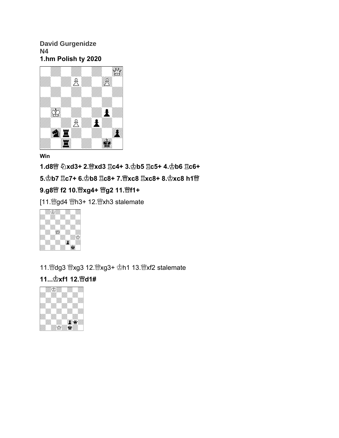#### **David Gurgenidze N4 1.hm Polish ty 2020**



#### **Win**

**1.d8 xd3+ 2. xd3 c4+ 3. b5 c5+ 4. b6 c6+ 5. b7 c7+ 6. b8 c8+ 7. xc8 xc8+ 8. xc8 h1 9.g8 f2 10. xg4+ g2 11. f1+**

[11. sgd4 營h3+ 12. skalemate



11. @dg3 @xg3 12. @xg3+ h1 13. @xf2 stalemate

## **11... xf1 12. d1#**

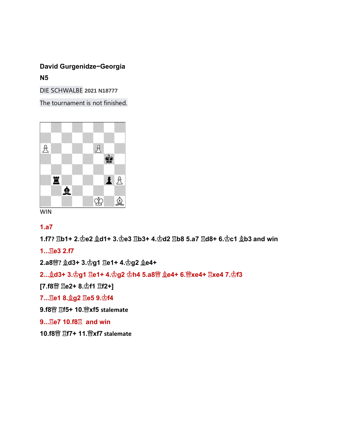## **David Gurgenidze-Georgia N5**

DIE SCHWALBE **2021 N18777**

The tournament is not finished.



```
WIN
```
### **1.a7**

**1.f7? b1+ 2. e2 d1+ 3. e3 b3+ 4. d2 b8 5.a7 d8+ 6. c1 b3 and win**

**1... e3 2.f7** 

**2.a8 ? d3+ 3. g1 e1+ 4. g2 e4+**

**2... d3+ 3. g1 e1+ 4. g2 h4 5.a8 e4+ 6. xe4+ xe4 7. f3** 

**[7.f8 e2+ 8. f1 f2+]**

**7... e1 8. g2 e5 9. f4**

**9.f8 f5+ 10. xf5 stalemate**

**9...**  $\Xi$ **e7 10.f8** $\Xi$  **and win** 

**10.f8 f7+ 11. xf7 stalemate**